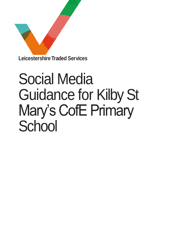

# Social Media Guidance for Kilby St Mary's CofE Primary **School**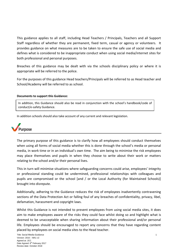This guidance applies to all staff, including Head Teachers / Principals, Teachers and all Support Staff regardless of whether they are permanent, fixed term, casual or agency or volunteers. It provides guidance on what measures are to be taken to ensure the safe use of social media and defines what is considered to be inappropriate conduct when using social media/internet sites for both professional and personal purposes.

Breaches of this guidance may be dealt with via the schools disciplinary policy or where it is appropriate will be referred to the police.

For the purposes of this guidance Head teachers/Principals will be referred to as Head teacher and School/Academy will be referred to as school.

#### **Documents to support this Guidance:**

In addition, this Guidance should also be read in conjunction with the school's handbook/code of conduct/e-safety Guidance.

In addition schools should also take account of any current and relevant legislation.



The primary purpose of this guidance is to clarify how all employees should conduct themselves when using all forms of social media whether this is done through the school's media or personal media, in work time or in an individual's own time. The aim being to minimise the risk employees may place themselves and pupils in when they choose to write about their work or matters relating to the school and/or their personal lives.

This in turn will minimise situations where safeguarding concerns could arise, employees' integrity or professional standing could be undermined, professional relationships with colleagues and pupils are compromised or the school [and / or the Local Authority (for Maintained Schools)] brought into disrepute.

Additionally, adhering to the Guidance reduces the risk of employees inadvertently contravening sections of the Data Protection Act or falling foul of any breaches of confidentiality, privacy, libel, defamation, harassment and copyright laws.

Whilst this Guidance is not intended to prevent employees from using social media sites, it does aim to make employees aware of the risks they could face whilst doing so and highlight what is deemed to be unacceptable when sharing information about their professional and/or personal life. Employees should be encouraged to report any concerns that they have regarding content placed by employees on social media sites to the Head teacher.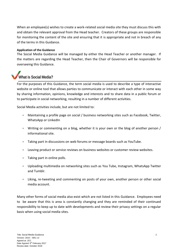When an employee(s) wishes to create a work-related social media site they must discuss this with and obtain the relevant approval from the Head teacher. Creators of these groups are responsible for monitoring the content of the site and ensuring that it is appropriate and not in breach of any of the terms in this Guidance.

### **Application of the Guidance**

The Social Media Guidance will be managed by either the Head Teacher or another manager. If the matters are regarding the Head Teacher, then the Chair of Governors will be responsible for overseeing this Guidance.



**What is Social Media?**

For the purposes of this Guidance, the term social media is used to describe a type of interactive website or online tool that allows parties to communicate or interact with each other in some way by sharing information, opinions, knowledge and interests and to share data in a public forum or to participate in social networking, resulting in a number of different activities.

Social Media activities include, but are not limited to:

- Maintaining a profile page on social / business networking sites such as Facebook, Twitter, WhatsApp or LinkedIn
- Writing or commenting on a blog, whether it is your own or the blog of another person / informational site.
- Taking part in discussions on web forums or message boards such as YouTube.
- Leaving product or service reviews on business websites or customer review websites.
- Taking part in online polls.
- Uploading multimedia on networking sites such as You Tube, Instagram, WhatsApp Twitter and Tumblr.
- Liking, re-tweeting and commenting on posts of your own, another person or other social media account.

Many other forms of social media also exist which are not listed in this Guidance. Employees need to be aware that this is area is constantly changing and they are reminded of their continued responsibility to keep up to date with developments and review their privacy settings on a regular basis when using social media sites.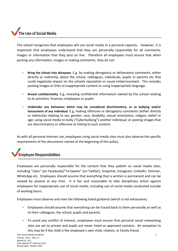# **The Use of Social Media**

The school recognises that employees will use social media in a personal capacity. However, it is important that employees understand that they are personally responsible for all comments, images or information that they post on line. Therefore all employees must ensure that when posting any information, images or making comments, they do not:

- **Bring the School into disrepute**. E.g. by making derogatory or defamatory comments, either directly or indirectly, about the school, colleagues, individuals, pupils or parents etc that could negatively impact on the schools reputation or cause embarrassment. This includes posting images or links to inappropriate content or using inappropriate language.
- **Breach confidentiality**. E.g, revealing confidential information owned by the school relating to its activities, finances, employees or pupils.
- **Undertake any behaviour which may be considered discriminatory, or as bullying and/or harassment of any individual**. E.g, making offensive or derogatory comments (either directly or indirectly) relating to sex, gender, race, disability, sexual orientation, religion, belief or age; using social media to bully ("Cyberbullying") another individual; or posting images that are discriminatory or offensive or linking to such content.

As with all personal internet use, employees using social media sites must also observe the specific requirements of the documents named at the beginning of this policy.

## **Employee Responsibilities**

Employees are personally responsible for the content that they publish on social media sites, including "Likes" (on Facebook)/"re-tweets" (on Twitter), Snapchat, Instagram, LinkedIn, Yammer, WhatsApp etc. Employees should assume that everything that is written is permanent and can be viewed by anyone at any time. It is fair and reasonable to take disciplinary action against employees for inappropriate use of social media, including use of social media conducted outside of working hours.

Employees must observe and note the following listed guidance (which is not exhaustive).

- Employees should assume that everything can be traced back to them personally as well as to their colleagues, the school, pupils and parents.
- To avoid any conflict of interest, employees must ensure that personal social networking sites are set to private and pupils are never listed as approved contacts. An exception to this may be if the child is the employee's own child, relative, or family friend.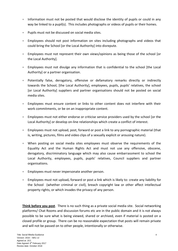- Information must not be posted that would disclose the identity of pupils or could in any way be linked to a pupil(s). This includes photographs or videos of pupils or their homes.
- Pupils must not be discussed on social media sites.
- Employees should not post information on sites including photographs and videos that could bring the School [or the Local Authority] into disrepute.
- Employees must not represent their own views/opinions as being those of the school [or the Local Authority].
- Employees must not divulge any information that is confidential to the school [the Local Authority] or a partner organisation.
- Potentially false, derogatory, offensive or defamatory remarks directly or indirectly towards the School, [the Local Authority], employees, pupils, pupils' relatives, the school [or Local Authority] suppliers and partner organisations should not be posted on social media sites.
- Employees must ensure content or links to other content does not interfere with their work commitments, or be on an inappropriate content.
- Employees must not either endorse or criticise service providers used by the school [or the Local Authority] or develop on-line relationships which create a conflict of interest.
- Employees must not upload, post, forward or post a link to any pornographic material (that is, writing, pictures, films and video clips of a sexually explicit or arousing nature).
- When posting on social media sites employees must observe the requirements of the Equality Act and the Human Rights Act and must not use any offensive, obscene, derogatory, discriminatory language which may also cause embarrassment to school the Local Authority, employees, pupils, pupils' relatives, Council suppliers and partner organisations.
- **Employees must never impersonate another person.**
- **Employees must not upload, forward or post a link which is likely to: create any liability for** the School (whether criminal or civil), breach copyright law or other affect intellectual property rights, or which invades the privacy of any person.

**Think before you post**. There is no such thing as a private social media site. Social networking platforms/ Chat Rooms and discussion forums etc are in the public domain and it is not always possible to be sure what is being viewed, shared or archived, even if material is posted on a closed profile or group. There can be no reasonable expectation that posts will remain private and will not be passed on to other people, intentionally or otherwise.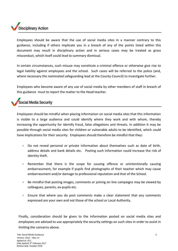# **Disciplinary Action**

Employees should be aware that the use of social media sites in a manner contrary to this guidance, including if others implicate you in a breach of any of the points listed within this document may result in disciplinary action and in serious cases may be treated as gross misconduct, which itself could lead to summary dismissal.

In certain circumstances, such misuse may constitute a criminal offence or otherwise give rise to legal liability against employees and the school. Such cases will be referred to the police (and, where necessary the nominated safeguarding lead at the County Council) to investigate further.

Employees who become aware of any use of social media by other members of staff in breach of this guidance must to report the matter to the Head teacher.

## **Social Media Security**

Employees should be mindful when placing information on social media sites that this information is visible to a large audience and could identify where they work and with whom, thereby increasing the opportunity for identify fraud, false allegations and threats. In addition it may be possible through social media sites for children or vulnerable adults to be identified, which could have implications for their security. Employees should therefore be mindful that they:

- Do not reveal personal or private information about themselves such as date of birth, address details and bank details etc. Posting such information could increase the risk of identity theft.
- Remember that there is the scope for causing offence or unintentionally causing embarrassment, for example if pupils find photographs of their teacher which may cause embarrassment and/or damage to professional reputation and that of the School.
- Be mindful that posting images, comments or joining on line campaigns may be viewed by colleagues, parents, ex-pupils etc.
- Ensure that where you do post comments make a clear statement that any comments expressed are your own and not those of the school or Local Authority.

Finally, consideration should be given to the information posted on social media sites and employees are advised to use appropriately the security settings on such sites in order to assist in limiting the concerns above.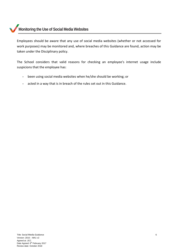## **Monitoring the Use of Social Media Websites**

Employees should be aware that any use of social media websites (whether or not accessed for work purposes) may be monitored and, where breaches of this Guidance are found, action may be taken under the Disciplinary policy.

The School considers that valid reasons for checking an employee's internet usage include suspicions that the employee has:

- been using social media websites when he/she should be working; or
- acted in a way that is in breach of the rules set out in this Guidance.